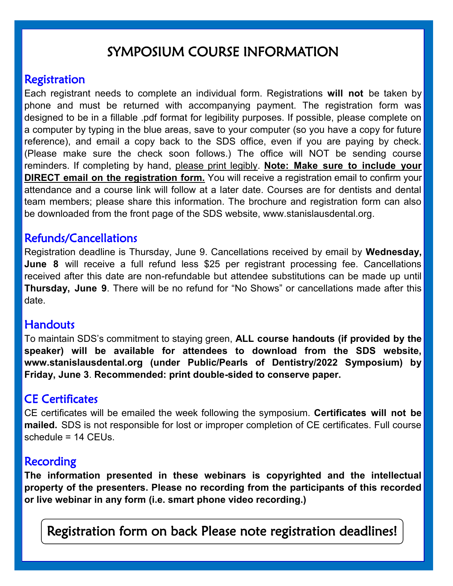# SYMPOSIUM COURSE INFORMATION

# Registration

Each registrant needs to complete an individual form. Registrations **will not** be taken by phone and must be returned with accompanying payment. The registration form was designed to be in a fillable .pdf format for legibility purposes. If possible, please complete on a computer by typing in the blue areas, save to your computer (so you have a copy for future reference), and email a copy back to the SDS office, even if you are paying by check. (Please make sure the check soon follows.) The office will NOT be sending course reminders. If completing by hand, please print legibly. **Note: Make sure to include your DIRECT email on the registration form.** You will receive a registration email to confirm your attendance and a course link will follow at a later date. Courses are for dentists and dental team members; please share this information. The brochure and registration form can also be downloaded from the front page of the SDS website, www.stanislausdental.org.

## Refunds/Cancellations

Registration deadline is Thursday, June 9. Cancellations received by email by **Wednesday, June 8** will receive a full refund less \$25 per registrant processing fee. Cancellations received after this date are non-refundable but attendee substitutions can be made up until **Thursday, June 9**. There will be no refund for "No Shows" or cancellations made after this date.

#### **Handouts**

To maintain SDS's commitment to staying green, **ALL course handouts (if provided by the speaker) will be available for attendees to download from the SDS website, www.stanislausdental.org (under Public/Pearls of Dentistry/2022 Symposium) by Friday, June 3**. **Recommended: print double-sided to conserve paper.** 

# CE Certificates

CE certificates will be emailed the week following the symposium. **Certificates will not be mailed.** SDS is not responsible for lost or improper completion of CE certificates. Full course schedule = 14 CEUs.

## **Recording**

**The information presented in these webinars is copyrighted and the intellectual property of the presenters. Please no recording from the participants of this recorded or live webinar in any form (i.e. smart phone video recording.)** 

Registration form on back Please note registration deadlines!